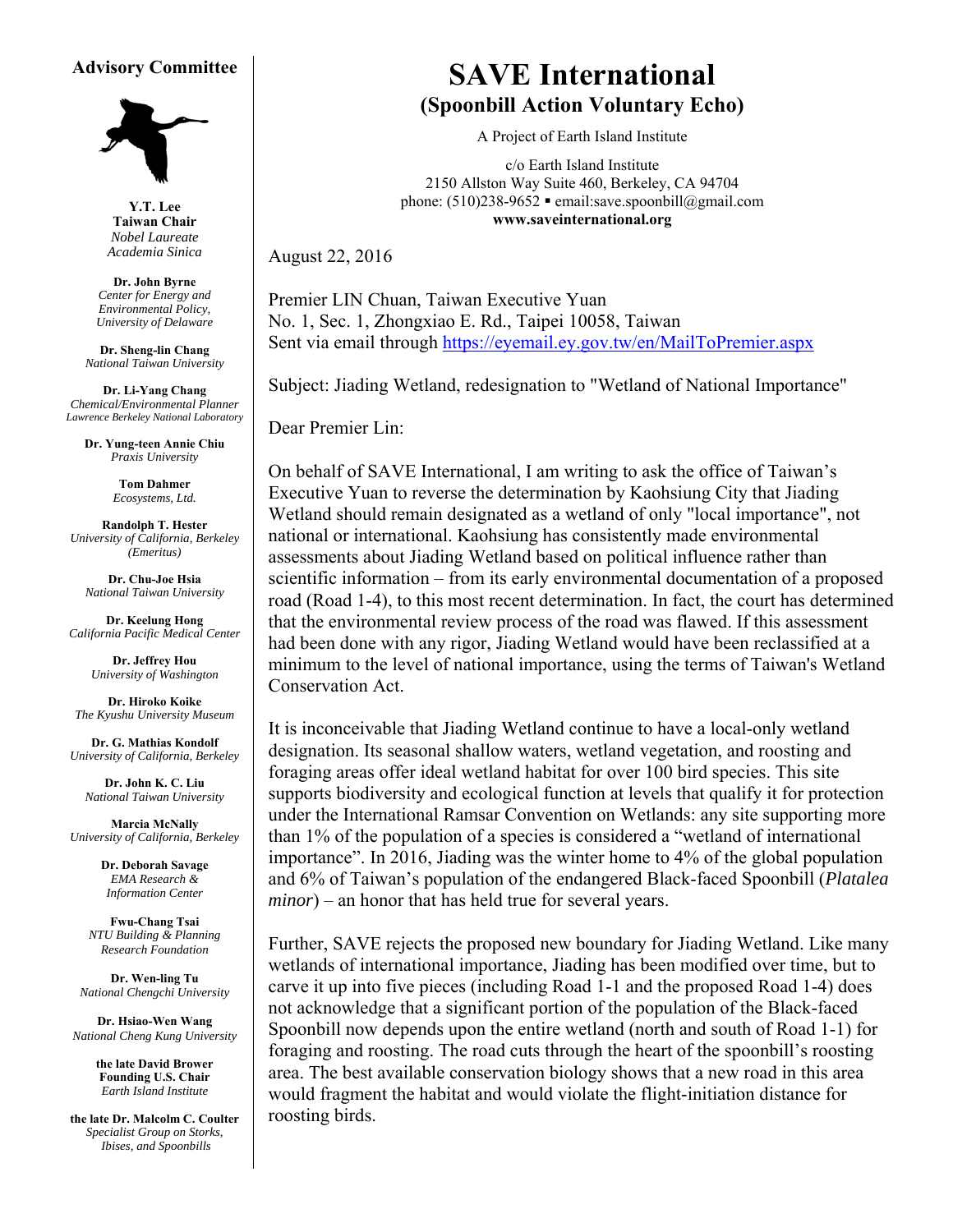#### **Advisory Committee**



**Y.T. Lee Taiwan Chair**  *Nobel Laureate Academia Sinica* 

**Dr. John Byrne**  *Center for Energy and Environmental Policy, University of Delaware* 

**Dr. Sheng-lin Chang** *National Taiwan University* 

**Dr. Li-Yang Chang**  *Chemical/Environmental Planner Lawrence Berkeley National Laboratory* 

> **Dr. Yung-teen Annie Chiu**  *Praxis University*

> > **Tom Dahmer** *Ecosystems, Ltd.*

**Randolph T. Hester** *University of California, Berkeley (Emeritus)* 

**Dr. Chu-Joe Hsia** *National Taiwan University* 

**Dr. Keelung Hong**  *California Pacific Medical Center* 

> **Dr. Jeffrey Hou** *University of Washington*

**Dr. Hiroko Koike**  *The Kyushu University Museum* 

**Dr. G. Mathias Kondolf** *University of California, Berkeley* 

**Dr. John K. C. Liu** *National Taiwan University*

**Marcia McNally** *University of California, Berkeley* 

> **Dr. Deborah Savage** *EMA Research & Information Center*

**Fwu-Chang Tsai** *NTU Building & Planning Research Foundation* 

**Dr. Wen-ling Tu**  *National Chengchi University* 

**Dr. Hsiao-Wen Wang**  *National Cheng Kung University* 

> **the late David Brower Founding U.S. Chair** *Earth Island Institute*

**the late Dr. Malcolm C. Coulter** *Specialist Group on Storks, Ibises, and Spoonbills* 

# **SAVE International (Spoonbill Action Voluntary Echo)**

A Project of Earth Island Institute

c/o Earth Island Institute 2150 Allston Way Suite 460, Berkeley, CA 94704 phone:  $(510)238-9652$  **e** email:save.spoonbill@gmail.com **www.saveinternational.org** 

August 22, 2016

Premier LIN Chuan, Taiwan Executive Yuan No. 1, Sec. 1, Zhongxiao E. Rd., Taipei 10058, Taiwan Sent via email through https://eyemail.ey.gov.tw/en/MailToPremier.aspx

Subject: Jiading Wetland, redesignation to "Wetland of National Importance"

Dear Premier Lin:

On behalf of SAVE International, I am writing to ask the office of Taiwan's Executive Yuan to reverse the determination by Kaohsiung City that Jiading Wetland should remain designated as a wetland of only "local importance", not national or international. Kaohsiung has consistently made environmental assessments about Jiading Wetland based on political influence rather than scientific information – from its early environmental documentation of a proposed road (Road 1-4), to this most recent determination. In fact, the court has determined that the environmental review process of the road was flawed. If this assessment had been done with any rigor, Jiading Wetland would have been reclassified at a minimum to the level of national importance, using the terms of Taiwan's Wetland Conservation Act.

It is inconceivable that Jiading Wetland continue to have a local-only wetland designation. Its seasonal shallow waters, wetland vegetation, and roosting and foraging areas offer ideal wetland habitat for over 100 bird species. This site supports biodiversity and ecological function at levels that qualify it for protection under the International Ramsar Convention on Wetlands: any site supporting more than 1% of the population of a species is considered a "wetland of international importance". In 2016, Jiading was the winter home to 4% of the global population and 6% of Taiwan's population of the endangered Black-faced Spoonbill (*Platalea minor*) – an honor that has held true for several years.

Further, SAVE rejects the proposed new boundary for Jiading Wetland. Like many wetlands of international importance, Jiading has been modified over time, but to carve it up into five pieces (including Road 1-1 and the proposed Road 1-4) does not acknowledge that a significant portion of the population of the Black-faced Spoonbill now depends upon the entire wetland (north and south of Road 1-1) for foraging and roosting. The road cuts through the heart of the spoonbill's roosting area. The best available conservation biology shows that a new road in this area would fragment the habitat and would violate the flight-initiation distance for roosting birds.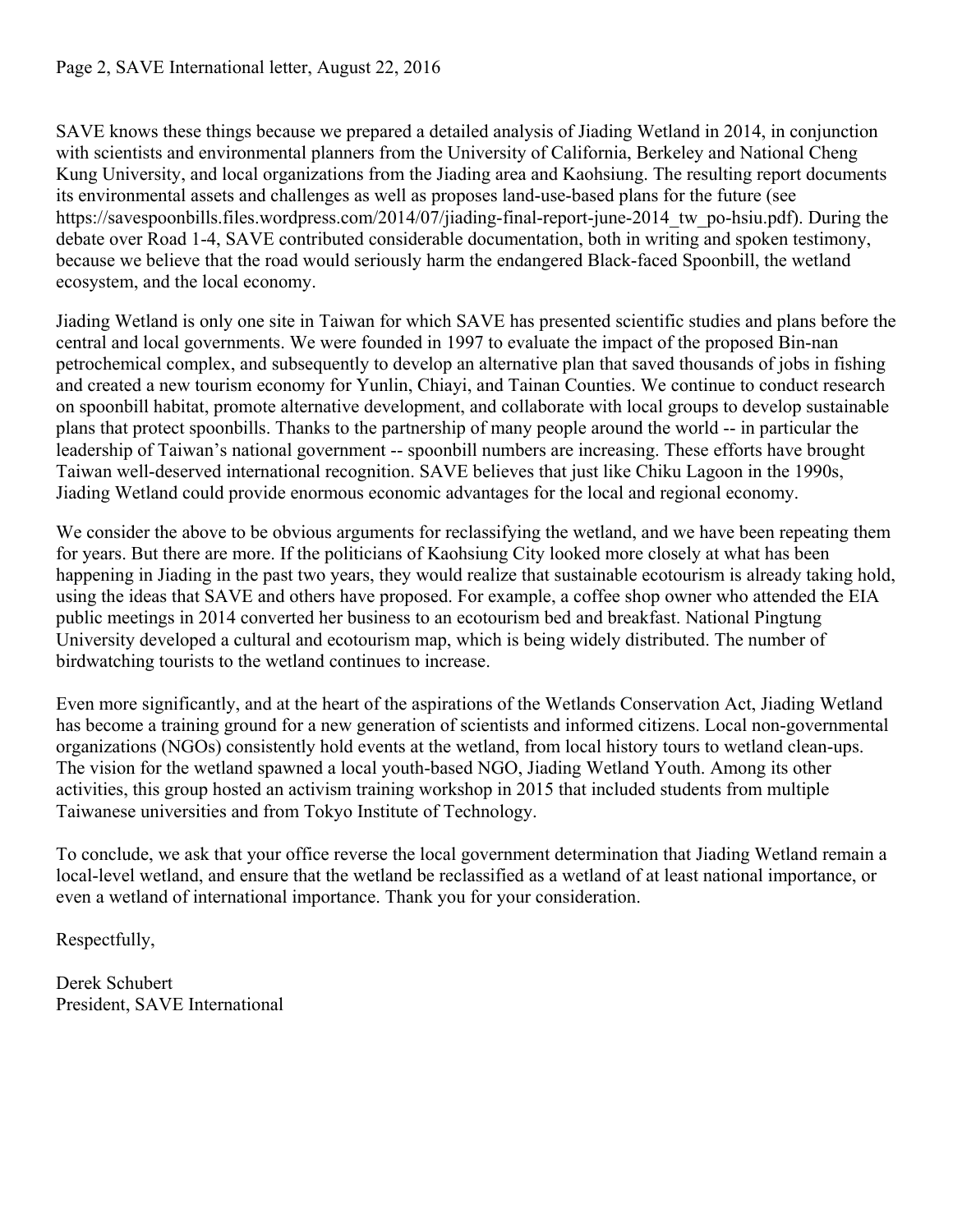### Page 2, SAVE International letter, August 22, 2016

SAVE knows these things because we prepared a detailed analysis of Jiading Wetland in 2014, in conjunction with scientists and environmental planners from the University of California, Berkeley and National Cheng Kung University, and local organizations from the Jiading area and Kaohsiung. The resulting report documents its environmental assets and challenges as well as proposes land-use-based plans for the future (see https://savespoonbills.files.wordpress.com/2014/07/jiading-final-report-june-2014 tw\_po-hsiu.pdf). During the debate over Road 1-4, SAVE contributed considerable documentation, both in writing and spoken testimony, because we believe that the road would seriously harm the endangered Black-faced Spoonbill, the wetland ecosystem, and the local economy.

Jiading Wetland is only one site in Taiwan for which SAVE has presented scientific studies and plans before the central and local governments. We were founded in 1997 to evaluate the impact of the proposed Bin-nan petrochemical complex, and subsequently to develop an alternative plan that saved thousands of jobs in fishing and created a new tourism economy for Yunlin, Chiayi, and Tainan Counties. We continue to conduct research on spoonbill habitat, promote alternative development, and collaborate with local groups to develop sustainable plans that protect spoonbills. Thanks to the partnership of many people around the world -- in particular the leadership of Taiwan's national government -- spoonbill numbers are increasing. These efforts have brought Taiwan well-deserved international recognition. SAVE believes that just like Chiku Lagoon in the 1990s, Jiading Wetland could provide enormous economic advantages for the local and regional economy.

We consider the above to be obvious arguments for reclassifying the wetland, and we have been repeating them for years. But there are more. If the politicians of Kaohsiung City looked more closely at what has been happening in Jiading in the past two years, they would realize that sustainable ecotourism is already taking hold, using the ideas that SAVE and others have proposed. For example, a coffee shop owner who attended the EIA public meetings in 2014 converted her business to an ecotourism bed and breakfast. National Pingtung University developed a cultural and ecotourism map, which is being widely distributed. The number of birdwatching tourists to the wetland continues to increase.

Even more significantly, and at the heart of the aspirations of the Wetlands Conservation Act, Jiading Wetland has become a training ground for a new generation of scientists and informed citizens. Local non-governmental organizations (NGOs) consistently hold events at the wetland, from local history tours to wetland clean-ups. The vision for the wetland spawned a local youth-based NGO, Jiading Wetland Youth. Among its other activities, this group hosted an activism training workshop in 2015 that included students from multiple Taiwanese universities and from Tokyo Institute of Technology.

To conclude, we ask that your office reverse the local government determination that Jiading Wetland remain a local-level wetland, and ensure that the wetland be reclassified as a wetland of at least national importance, or even a wetland of international importance. Thank you for your consideration.

Respectfully,

Derek Schubert President, SAVE International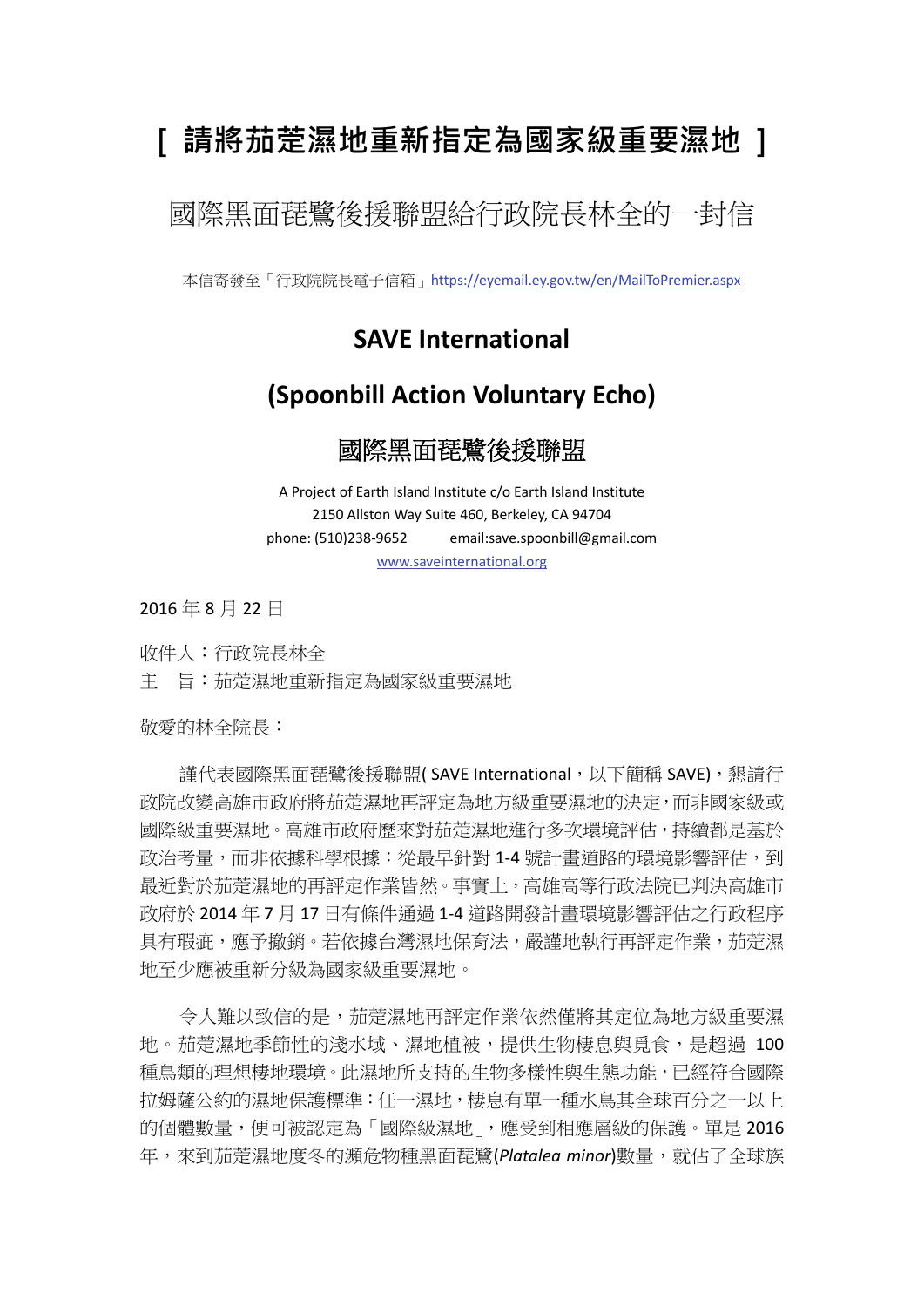# **[ 請將茄萣濕地重新指定為國家級重要濕地 ]**

國際黑面琵鷺後援聯盟給行政院長林全的一封信

本信寄發至「行政院院長電子信箱」https://eyemail.ey.gov.tw/en/MailToPremier.aspx

## **SAVE International**

## **(Spoonbill Action Voluntary Echo)**

### 國際黑面琵鷺後援聯盟

A Project of Earth Island Institute c/o Earth Island Institute 2150 Allston Way Suite 460, Berkeley, CA 94704 phone: (510)238‐9652 email:save.spoonbill@gmail.com www.saveinternational.org

2016 年 8 月 22 日

收件人:行政院長林全 主 旨:茄萣濕地重新指定為國家級重要濕地

敬愛的林全院長:

謹代表國際黑面琵鷺後援聯盟(SAVE International,以下簡稱 SAVE),懇請行 政院改變高雄市政府將茄萣濕地再評定為地方級重要濕地的決定,而非國家級或 國際級重要濕地。高雄市政府歷來對茄萣濕地進行多次環境評估,持續都是基於 政治考量,而非依據科學根據:從最早針對 1-4 號計書道路的環境影響評估,到 最近對於茄萣濕地的再評定作業皆然。事實上,高雄高等行政法院已判決高雄市 政府於 2014 年 7 月 17 日有條件通過 1‐4 道路開發計畫環境影響評估之行政程序 具有瑕疵,應予撤銷。若依據台灣濕地保育法,嚴謹地執行再評定作業,茄萣濕 地至少應被重新分級為國家級重要濕地。

令人難以致信的是,茄萣濕地再評定作業依然僅將其定位為地方級重要濕 地。茄萣濕地季節性的淺水域、濕地植被,提供生物棲息與覓食,是超過 100 種鳥類的理想棲地環境。此濕地所支持的生物多樣性與生態功能,已經符合國際 拉姆薩公約的濕地保護標準:任一濕地,棲息有單一種水鳥其全球百分之一以上 的個體數量,便可被認定為「國際級濕地」,應受到相應層級的保護。單是 2016 年,來到茄萣濕地度冬的瀕危物種黑面琵鷺(*Platalea minor*)數量,就佔了全球族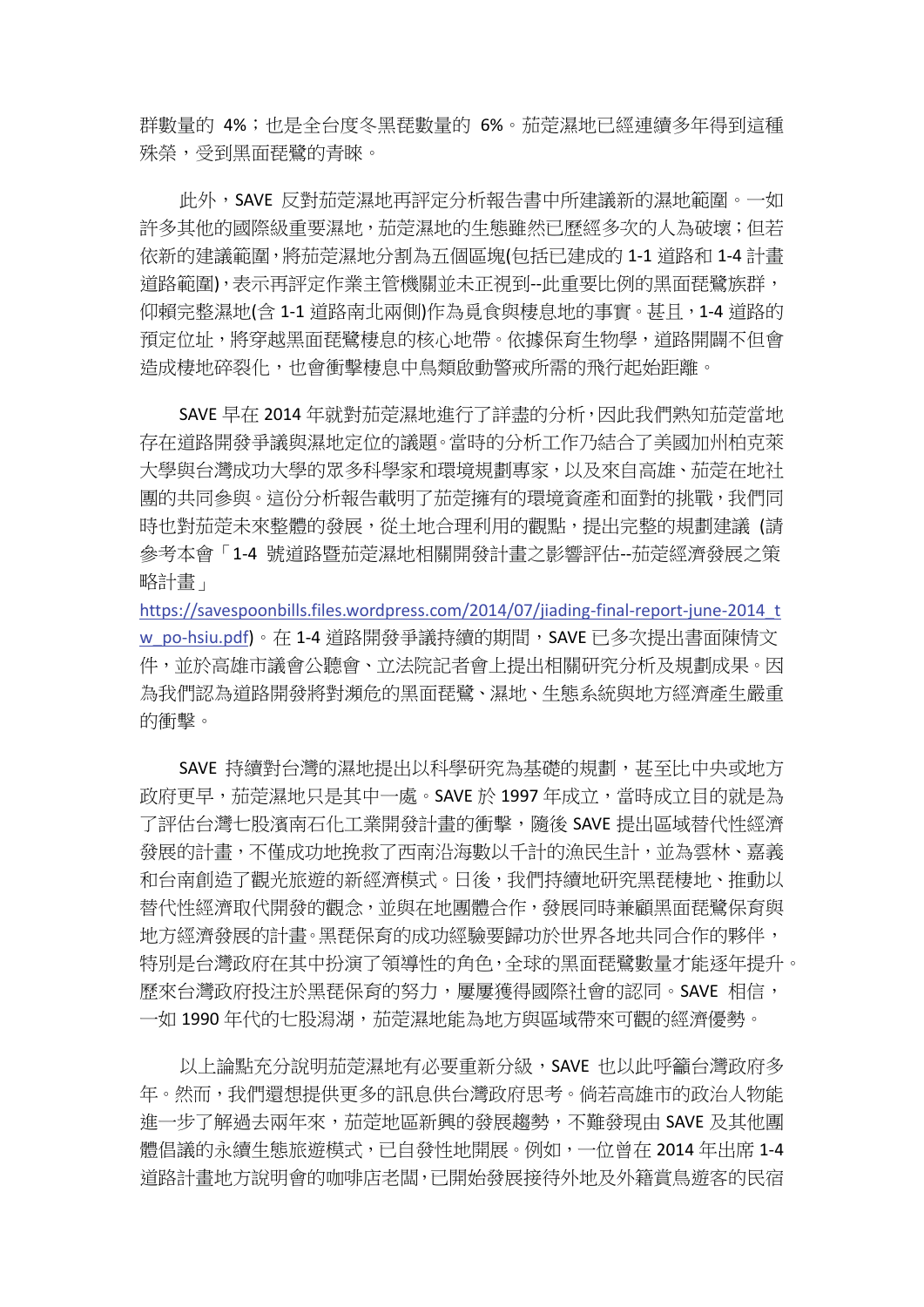群數量的 4%; 也是全台度冬黑琵數量的 6%。茄萣濕地已經連續多年得到這種 殊榮,受到黑面琵鷺的青睞。

此外,SAVE 反對茄萣濕地再評定分析報告書中所建議新的濕地範圍。一如 許多其他的國際級重要濕地,茄萣濕地的生態雖然已歷經多次的人為破壞;但若 依新的建議範圍,將茄萣濕地分割為五個區塊(包括已建成的 1‐1 道路和 1‐4 計畫 道路範圍),表示再評定作業主管機關並未正視到--此重要比例的黑面琵鷺族群, 仰賴完整濕地(含 1-1 道路南北兩側)作為覓食與棲息地的事實。甚且,1-4 道路的 預定位址,將穿越黑面琵鷺棲息的核心地帶。依據保育生物學,道路開闢不但會 造成棲地碎裂化,也會衝擊棲息中鳥類啟動警戒所需的飛行起始距離。

SAVE 早在 2014 年就對茄萣濕地進行了詳盡的分析,因此我們熟知茄萣當地 存在道路開發爭議與濕地定位的議題。當時的分析工作乃結合了美國加州柏克萊 大學與台灣成功大學的眾多科學家和環境規劃專家,以及來自高雄、茄萣在地社 團的共同參與。這份分析報告載明了茄萣擁有的環境資產和面對的挑戰,我們同 時也對茄萣未來整體的發展,從土地合理利用的觀點,提出完整的規劃建議 (請 參考本會「1‐4 號道路暨茄萣濕地相關開發計畫之影響評估‐‐茄萣經濟發展之策 略計畫」

https://savespoonbills.files.wordpress.com/2014/07/jiading-final-report-june-2014\_t w\_po-hsiu.pdf)。在 1-4 道路開發爭議持續的期間, SAVE 已多次提出書面陳情文 件,並於高雄市議會公聽會、立法院記者會上提出相關研究分析及規劃成果。因 為我們認為道路開發將對瀕危的黑面琵鷺、濕地、生態系統與地方經濟產生嚴重 的衝擊。

SAVE 持續對台灣的濕地提出以科學研究為基礎的規劃,甚至比中央或地方 政府更早,茄萣濕地只是其中一處。SAVE 於 1997 年成立,當時成立目的就是為 了評估台灣七股濱南石化工業開發計畫的衝擊,隨後 SAVE 提出區域替代性經濟 發展的計書,不僅成功地挽救了西南沿海數以千計的漁民生計,並為雲林、嘉義 和台南創造了觀光旅游的新經濟模式。日後,我們持續地研究黑琵樓地、推動以 替代性經濟取代開發的觀念,並與在地團體合作,發展同時兼顧黑面琵鷺保育與 地方經濟發展的計畫。黑琵保育的成功經驗要歸功於世界各地共同合作的夥伴, 特別是台灣政府在其中扮演了領導性的角色,全球的黑面琵鷺數量才能逐年提升。 歷來台灣政府投注於黑琵保育的努力,屢屢獲得國際社會的認同。SAVE 相信, 一如 1990 年代的七股潟湖,茄萣濕地能為地方與區域帶來可觀的經濟優勢。

以上論點充分說明茄萣濕地有必要重新分級,SAVE 也以此呼籲台灣政府多 年。然而,我們還想提供更多的訊息供台灣政府思考。倘若高雄市的政治人物能 進一步了解過去兩年來,茄萣地區新興的發展趨勢,不難發現由 SAVE 及其他團 體倡議的永續生態旅遊模式,已自發性地開展。例如,一位曾在 2014 年出席 1‐4 道路計畫地方說明會的咖啡店老闆,已開始發展接待外地及外籍賞鳥遊客的民宿